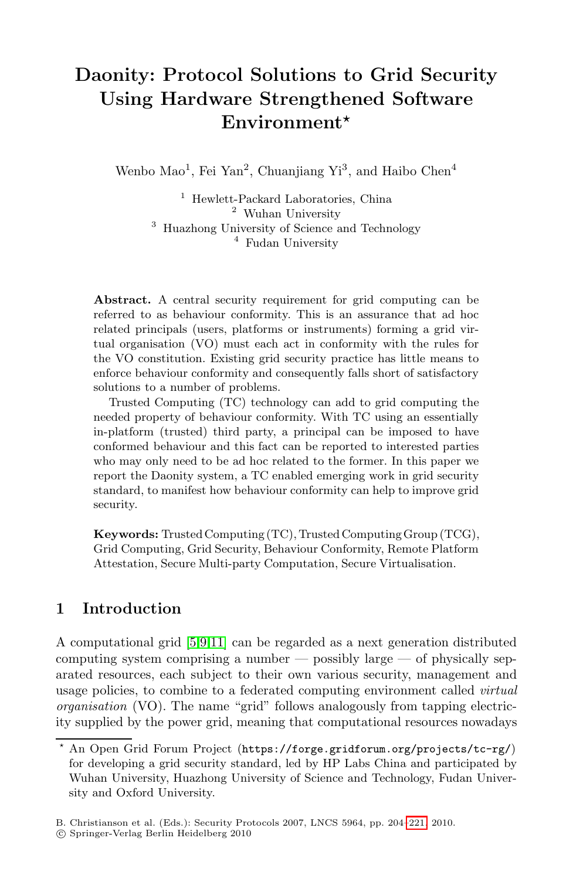# **Daonity: Protocol Solutions to Grid Security Using Hardware Strengthened Software Environment***-*

Wenbo Mao<sup>1</sup>, Fei Yan<sup>2</sup>, Chuanjiang Yi<sup>3</sup>, and Haibo Chen<sup>4</sup>

<sup>1</sup> Hewlett-Packard Laboratories, China <sup>2</sup> Wuhan University <sup>3</sup> Huazhong University of Science and Technology <sup>4</sup> Fudan University

**Abstract.** A central security requirement for grid computing can be referred to as behaviour conformity. This is an assurance that ad hoc related principals (users, platforms or instruments) forming a grid virtual organisation (VO) must each act in conformity with the rules for the VO constitution. Existing grid security practice has little means to enforce behaviour conformity and consequently falls short of satisfactory solutions to a number of problems.

Trusted Computing (TC) technology can add to grid computing the needed property of behaviour conformity. With TC using an essentially in-platform (trusted) third party, a principal can be imposed to have conformed behaviour and this fact can be reported to interested parties who may only need to be ad hoc related to the former. In this paper we report the Daonity system, a TC enabled emerging work in grid security standard, to manifest how behaviour conformity can help to improve grid security.

**Keywords:** Trusted Computing (TC), Trusted Computing Group (TCG), Grid Computing, Grid Security, Behaviour Conformity, Remote Platform Attestation, Secure Multi-party Computation, Secure Virtualisation.

## **1 Introduction**

A computational grid [5,9,11] can be regarded as a next generation distributed computing system comprising a number  $-$  possibly large  $-$  of physically separated resources, each subject to their own various security, management and usage policies, to combine to a federated computing environment called *virtual organisation* (VO). The name "grid" foll[ows](#page-17-0) analogously from tapping electricity supplied by the power grid, meaning that computational resources nowadays

<sup>\*</sup> An Open Grid Forum Project (https://forge.gridforum.org/projects/tc-rg/) for developing a grid security standard, led by HP Labs China and participated by Wuhan University, Huazhong University of Science and Technology, Fudan University and Oxford University.

B. Christianson et al. (Eds.): Security Protocols 2007, LNCS 5964, pp. 204–221, 2010.

<sup>-</sup>c Springer-Verlag Berlin Heidelberg 2010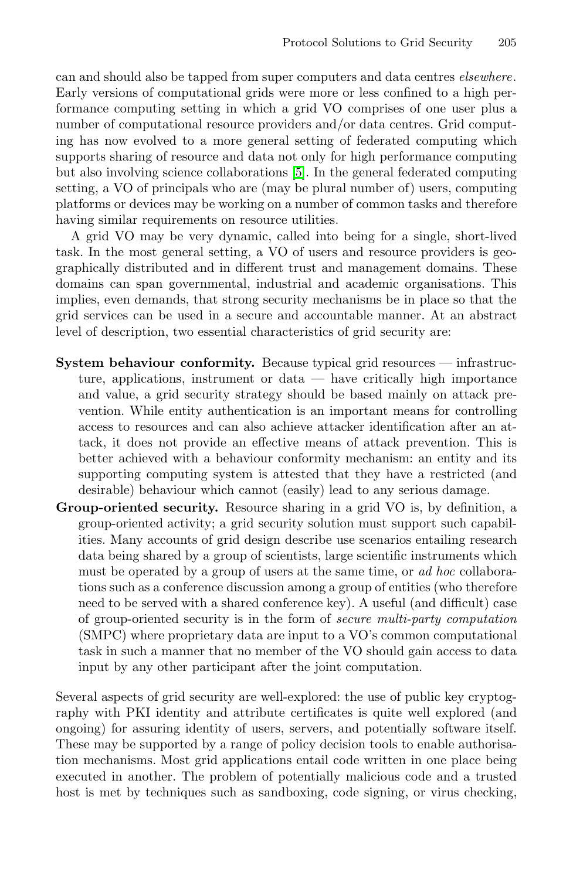can and should also be tapped from super computers and data centres *elsewhere*. Early versions of computational grids were more or less confined to a high performance computing setting in which a grid VO comprises of one user plus a number of computational resource providers and/or data centres. Grid computing has now evolved to a more general setting of federated computing which supports sharing of resource and data not only for high performance computing but also involving science collaborations [5]. In the general federated computing setting, a VO of principals who are (may be plural number of) users, computing platforms or devices may be working on a number of common tasks and therefore having similar requirements on resource utilities.

A grid VO may be very dynamic, called into being for a single, short-lived task. In the most general setting, a VO of users and resource providers is geographically distributed and in different trust and management domains. These domains can span governmental, industrial and academic organisations. This implies, even demands, that strong security mechanisms be in place so that the grid services can be used in a secure and accountable manner. At an abstract level of description, two essential characteristics of grid security are:

- **System behaviour conformity.** Because typical grid resources infrastructure, applications, instrument or data — have critically high importance and value, a grid security strategy should be based mainly on attack prevention. While entity authentication is an important means for controlling access to resources and can also achieve attacker identification after an attack, it does not provide an effective means of attack prevention. This is better achieved with a behaviour conformity mechanism: an entity and its supporting computing system is attested that they have a restricted (and desirable) behaviour which cannot (easily) lead to any serious damage.
- **Group-oriented security.** Resource sharing in a grid VO is, by definition, a group-oriented activity; a grid security solution must support such capabilities. Many accounts of grid design describe use scenarios entailing research data being shared by a group of scientists, large scientific instruments which must be operated by a group of users at the same time, or *ad hoc* collaborations such as a conference discussion among a group of entities (who therefore need to be served with a shared conference key). A useful (and difficult) case of group-oriented security is in the form of *secure multi-party computation* (SMPC) where proprietary data are input to a VO's common computational task in such a manner that no member of the VO should gain access to data input by any other participant after the joint computation.

Several aspects of grid security are well-explored: the use of public key cryptography with PKI identity and attribute certificates is quite well explored (and ongoing) for assuring identity of users, servers, and potentially software itself. These may be supported by a range of policy decision tools to enable authorisation mechanisms. Most grid applications entail code written in one place being executed in another. The problem of potentially malicious code and a trusted host is met by techniques such as sandboxing, code signing, or virus checking,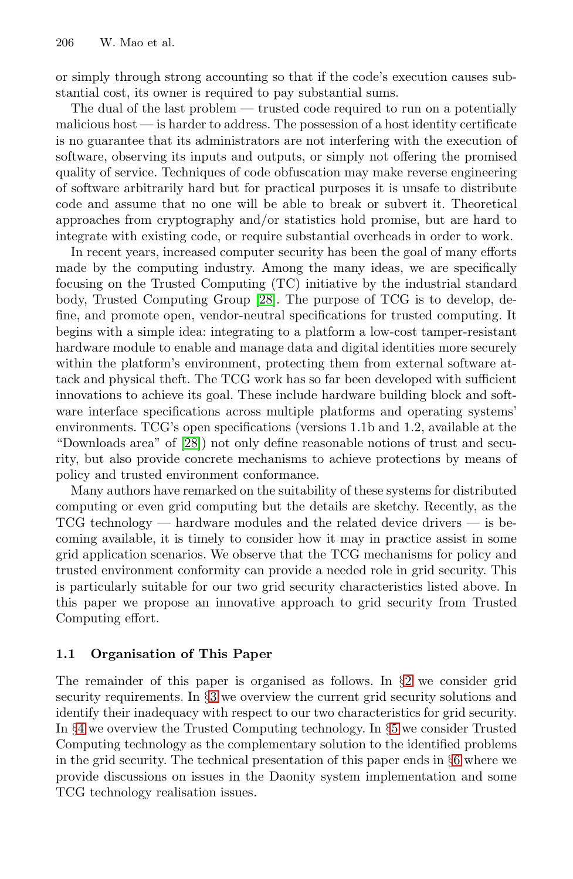or simply through strong accounting so that if the code's execution causes substantial cost, its owner is required to pay substantial sums.

The dual of the last problem — trusted code required to run on a potentially malicious host — is harder to address. The possession of a host identity certificate is no guarantee that its administrators are not interfering with the execution of software, observing its inputs and outputs, or simply not offering the promised quality of servi[ce. T](#page-17-1)echniques of code obfuscation may make reverse engineering of software arbitrarily hard but for practical purposes it is unsafe to distribute code and assume that no one will be able to break or subvert it. Theoretical approaches from cryptography and/or statistics hold promise, but are hard to integrate with existing code, or require substantial overheads in order to work.

In recent years, increased computer security has been the goal of many efforts made by the computing industry. Among the many ideas, we are specifically focusing on the Trusted Computing (TC) initiative by the industrial standard body, Trusted Computing Group [28]. The purpose of TCG is to develop, defin[e, a](#page-17-1)nd promote open, vendor-neutral specifications for trusted computing. It begins with a simple idea: integrating to a platform a low-cost tamper-resistant hardware module to enable and manage data and digital identities more securely within the platform's environment, protecting them from external software attack and physical theft. The TCG work has so far been developed with sufficient innovations to achieve its goal. These include hardware building block and software interface specifications across multiple platforms and operating systems' environments. TCG's open specifications (versions 1.1b and 1.2, available at the "Downloads area" of [28]) not only define reasonable notions of trust and security, but also provide concrete mechanisms to achieve protections by means of policy and trusted environment conformance.

Many authors have remarked on the suitability of these systems for distributed computing or even grid computing but the details are sketchy. Recently, as the TCG technology — hardware modules and the related device drivers — is becoming available, it is timely to consider how it may in practice assist in some grid application scenarios. We observe th[at](#page-3-0) the TCG mechanisms for policy and trusted [en](#page-5-0)vironment conformity can provide a needed role in grid security. This is particularly suitable for our two grid security characteristics listed above. In this paper we propose an innovative [ap](#page-7-0)proach to grid security from Trusted Computing effort.

#### **1.1 Organisation of This Paper**

The remainder of this paper is organised as follows. In  $\S 2$  we consider grid security requirements. In §3 we overview the current grid security solutions and identify their inadequacy with respect to our two characteristics for grid security. In §4 we overview the Trusted Computing technology. In §5 we consider Trusted Computing technology as the complementary solution to the identified problems in the grid security. The technical presentation of this paper ends in §6 where we provide discussions on issues in the Daonity system implementation and some TCG technology realisation issues.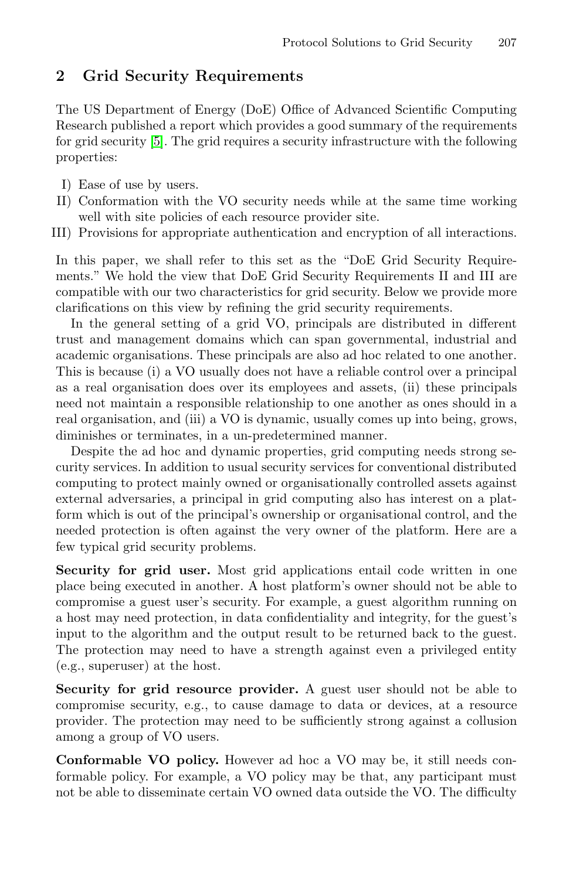# <span id="page-3-0"></span>**2 Grid Security Requirements**

The US Department of Energy (DoE) Office of Advanced Scientific Computing Research published a report which provides a good summary of the requirements for grid security [5]. The grid requires a security infrastructure with the following properties:

- I) Ease of use by users.
- II) Conformation with the VO security needs while at the same time working well with site policies of each resource provider site.
- III) Provisions for appropriate authentication and encryption of all interactions.

In this paper, we shall refer to this set as the "DoE Grid Security Requirements." We hold the view that DoE Grid Security Requirements II and III are compatible with our two characteristics for grid security. Below we provide more clarifications on this view by refining the grid security requirements.

In the general setting of a grid VO, principals are distributed in different trust and management domains which can span governmental, industrial and academic organisations. These principals are also ad hoc related to one another. This is because (i) a VO usually does not have a reliable control over a principal as a real organisation does over its employees and assets, (ii) these principals need not maintain a responsible relationship to one another as ones should in a real organisation, and (iii) a VO is dynamic, usually comes up into being, grows, diminishes or terminates, in a un-predetermined manner.

Despite the ad hoc and dynamic properties, grid computing needs strong security services. In addition to usual security services for conventional distributed computing to protect mainly owned or organisationally controlled assets against external adversaries, a principal in grid computing also has interest on a platform which is out of the principal's ownership or organisational control, and the needed protection is often against the very owner of the platform. Here are a few typical grid security problems.

**Security for grid user.** Most grid applications entail code written in one place being executed in another. A host platform's owner should not be able to compromise a guest user's security. For example, a guest algorithm running on a host may need protection, in data confidentiality and integrity, for the guest's input to the algorithm and the output result to be returned back to the guest. The protection may need to have a strength against even a privileged entity (e.g., superuser) at the host.

**Security for grid resource provider.** A guest user should not be able to compromise security, e.g., to cause damage to data or devices, at a resource provider. The protection may need to be sufficiently strong against a collusion among a group of VO users.

**Conformable VO policy.** However ad hoc a VO may be, it still needs conformable policy. For example, a VO policy may be that, any participant must not be able to disseminate certain VO owned data outside the VO. The difficulty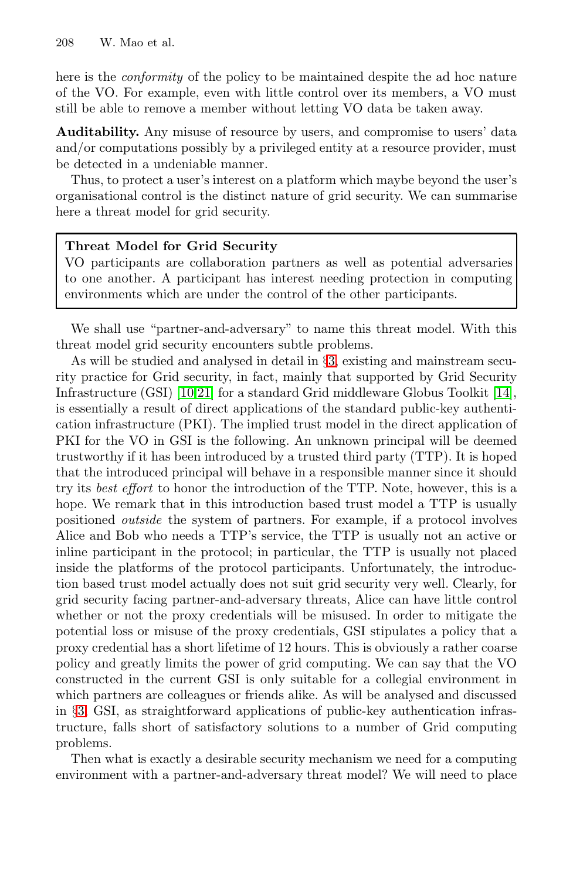here is the *conformity* of the policy to be maintained despite the ad hoc nature of the VO. For example, even with little control over its members, a VO must still be able to remove a member without letting VO data be taken away.

**Auditability.** Any misuse of resource by users, and compromise to users' data and/or computations possibly by a privileged entity at a resource provider, must be detected in a undeniable manner.

Thus, to protect a user's interest on a platform which maybe beyond the user's organisational control is the distinct nature of grid security. We can summarise here a threat model for grid security.

#### **Threat Model for Gri[d](#page-5-0) [S](#page-5-0)ecurity**

[VO](#page-16-0) [pa](#page-17-2)rticipants are collaboration partners as well as [po](#page-16-1)tential adversaries to one another. A participant has interest needing protection in computing environments which are under the control of the other participants.

We shall use "partner-and-adversary" to name this threat model. With this threat model grid security encounters subtle problems.

As will be studied and analysed in detail in §3, existing and mainstream security practice for Grid security, in fact, mainly that supported by Grid Security Infrastructure (GSI) [10,21] for a standard Grid middleware Globus Toolkit [14], is essentially a result of direct applications of the standard public-key authentication infrastructure (PKI). The implied trust model in the direct application of PKI for the VO in GSI is the following. An unknown principal will be deemed trustworthy if it has been introduced by a trusted third party (TTP). It is hoped that the introduced principal will behave in a responsible manner since it should try its *best effort* to honor the introduction of the TTP. Note, however, this is a hope. We remark that in this introduction based trust model a TTP is usually positioned *outside* the system of partners. For example, if a protocol involves Alice and Bob who needs a TTP's service, the TTP is usually not an active or inline participant in the protocol; in particular, the TTP is usually not placed inside the platforms of the protocol participants. Unfortunately, the introduction based trust model actually does not suit grid security very well. Clearly, for grid security facing partner-and-adversary threats, Alice can have little control whether or not the proxy credentials will be misused. In order to mitigate the potential loss or misuse of the proxy credentials, GSI stipulates a policy that a proxy credential has a short lifetime of 12 hours. This is obviously a rather coarse policy and greatly limits the power of grid computing. We can say that the VO constructed in the current GSI is only suitable for a collegial environment in which partners are colleagues or friends alike. As will be analysed and discussed in §3, GSI, as straightforward applications of public-key authentication infrastructure, falls short of satisfactory solutions to a number of Grid computing problems.

Then what is exactly a desirable security mechanism we need for a computing environment with a partner-and-adversary threat model? We will need to place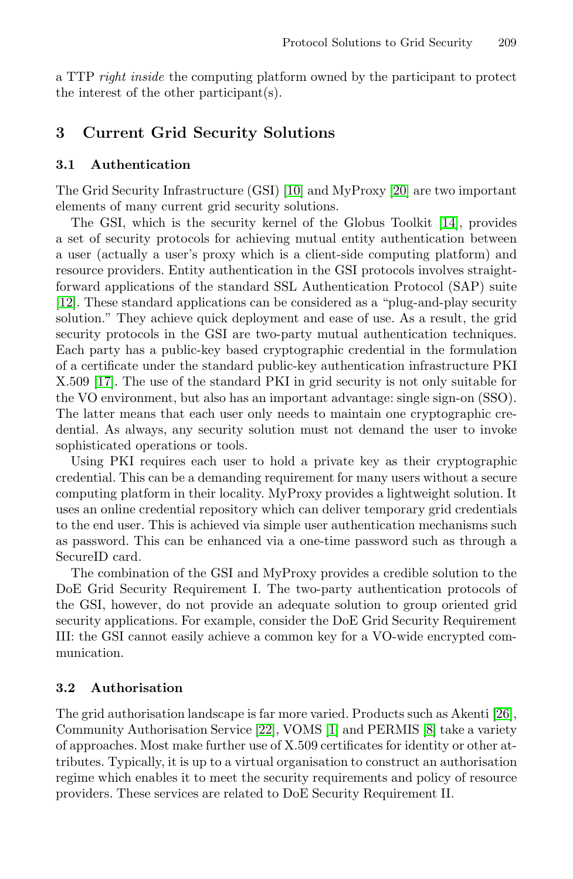<span id="page-5-0"></span>a TTP *right inside* t[he](#page-16-0) computing plat[form](#page-17-3) owned by the participant to protect the interest of the other participant(s).

# **3 Current Grid Security Solutions**

#### **3.1 Authentication**

The Grid Security Infrastructure (GSI) [10] and MyProxy [20] are two important elements of many current grid security solutions.

The GSI, which is the security kernel of the Globus Toolkit [14], provides a set of security protocols for achieving mutual entity authentication between a user (actually a user's proxy which is a client-side computing platform) and resource providers. Entity authentication in the GSI protocols involves straightforward applications of the standard SSL Authentication Protocol (SAP) suite [12]. These standard applications can be considered as a "plug-and-play security solution." They achieve quick deployment and ease of use. As a result, the grid security protocols in the GSI are two-party mutual authentication techniques. Each party has a public-key based cryptographic credential in the formulation of a certificate under the standard public-key authentication infrastructure PKI X.509 [17]. The use of the standard PKI in grid security is not only suitable for the VO environment, but also has an important advantage: single sign-on (SSO). The latter means that each user only needs to maintain one cryptographic credential. As always, any security solution must not demand the user to invoke sophisticated operations or tools.

Using PKI requires each user to hold a private key as their cryptographic credential. This can be a demanding requirement for many users without a secure computing platform in their locality. MyProxy provides a lightweight solution. It uses an online credential repository which can deliver temporary grid credentials to the end user. This is achieved via simple user authentication mechanisms such as password. This can be enhanced via a one-time password such as through a SecureID card.

The combination of the GSI and MyProxy provides a credible solution to the DoE Grid Security Requirement I. The two-party auth[ent](#page-17-4)ication protocols of the GSI, howev[er,](#page-17-5) do not p[ro](#page-16-2)vide an adequ[ate](#page-16-3) solution to group oriented grid security applications. For example, consider the DoE Grid Security Requirement III: the GSI cannot easily achieve a common key for a VO-wide encrypted communication.

#### **3.2 Authorisation**

The grid authorisation landscape is far more varied. Products such as Akenti [26], Community Authorisation Service [22], VOMS [1] and PERMIS [8] take a variety of approaches. Most make further use of X.509 certificates for identity or other attributes. Typically, it is up to a virtual organisation to construct an authorisation regime which enables it to meet the security requirements and policy of resource providers. These services are related to DoE Security Requirement II.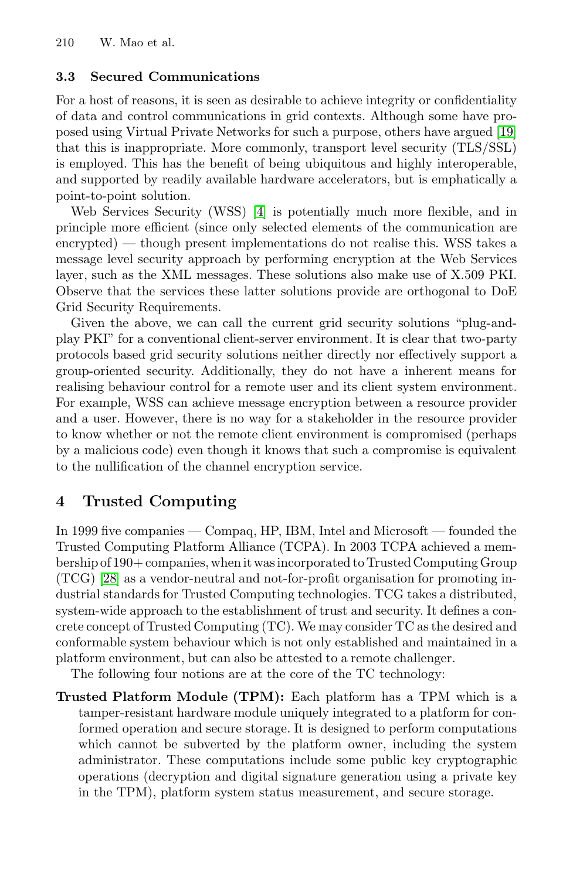### **3.3 Secured Communications**

For a host of re[as](#page-16-4)ons, it is seen as desirable to achieve integrity or confidentiality of data and control communications in grid contexts. Although some have proposed using Virtual Private Networks for such a purpose, others have argued [19] that this is inappropriate. More commonly, transport level security (TLS/SSL) is employed. This has the benefit of being ubiquitous and highly interoperable, and supported by readily available hardware accelerators, but is emphatically a point-to-point solution.

Web Services Security (WSS) [4] is potentially much more flexible, and in principle more efficient (since only selected elements of the communication are encrypted) — though present implementations do not realise this. WSS takes a message level security approach by performing encryption at the Web Services layer, such as the XML messages. These solutions also make use of X.509 PKI. Observe that the services these latter solutions provide are orthogonal to DoE Grid Security Requirements.

Given the above, we can call the current grid security solutions "plug-andplay PKI" for a conventional client-server environment. It is clear that two-party protocols based grid security solutions neither directly nor effectively support a group-oriented security. Additionally, they do not have a inherent means for realising behaviour control for a remote user and its client system environment. For example, WSS can achieve message encryption between a resource provider and a user. However, there is no way for a stakeholder in the resource provider to know whether or not the remote client environment is compromised (perhaps by a malicious code) even though it knows that such a compromise is equivalent to the nullification of the channel encryption service.

## **4 Trusted Computing**

In 1999 five companies — Compaq, HP, IBM, Intel and Microsoft — founded the Trusted Computing Platform Alliance (TCPA). In 2003 TCPA achieved a membership of 190+ companies, when it was incorporated to Trusted Computing Group (TCG) [28] as a vendor-neutral and not-for-profit organisation for promoting industrial standards for Trusted Computing technologies. TCG takes a distributed, system-wide approach to the establishment of trust and security. It defines a concrete concept of Trusted Computing (TC). We may consider TC as the desired and conformable system behaviour which is not only established and maintained in a platform environment, but can also be attested to a remote challenger.

The following four notions are at the core of the TC technology:

**Trusted Platform Module (TPM):** Each platform has a TPM which is a tamper-resistant hardware module uniquely integrated to a platform for conformed operation and secure storage. It is designed to perform computations which cannot be subverted by the platform owner, including the system administrator. These computations include some public key cryptographic operations (decryption and digital signature generation using a private key in the TPM), platform system status measurement, and secure storage.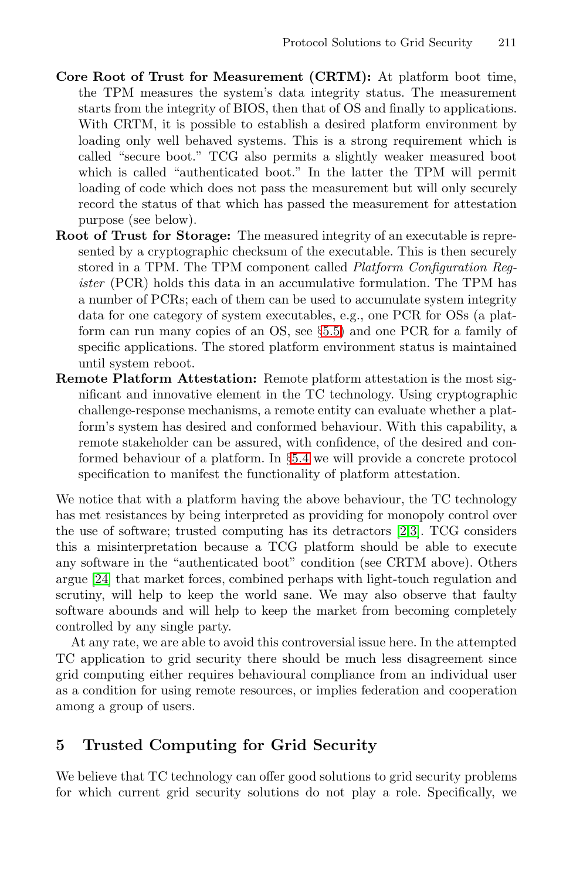- **Core Root of Trust for Measurement (CRTM):** At platform boot time, the TPM measures the system's data integrity status. The measurement starts from the integrity of BIOS, then that of OS and finally to applications. With CRTM, it is possible to establish a desired platform environment by loading only well behaved systems. This is a strong requirement which is called "secure boot." TCG also permits a slightly weaker measured boot which is called "authenticated boot." In the latter the TPM will permit loading of code which does not pass the measurement but will only securely record the status of th[at w](#page-11-0)hich has passed the measurement for attestation purpose (see below).
- **Root of Trust for Storage:** The measured integrity of an executable is represented by a cryptographic checksum of the executable. This is then securely stored in a TPM. The TPM component called *Platform Configuration Register* (PCR) holds this data in an accumulative formulation. The TPM has a number of PCRs; each of them can be used to accumulate system integrity data for one category of system executables, e.g., one PCR for OSs (a platform can run ma[ny c](#page-10-0)opies of an OS, see §5.5) and one PCR for a family of specific applications. The stored platform environment status is maintained until system reboot.
- **Remote Platform Attestation:** Remote platform attestation is the most significant and innovative element in the TC technology. Using cryptographic challenge-response mechanisms, a re[m](#page-16-5)[ote](#page-16-6) entity can evaluate whether a platform's system has desired and conformed behaviour. With this capability, a remote stakeholder can be assured, with confidence, of the desired and conformed behaviour of a platform. In §5.4 we will provide a concrete protocol specification to manifest the functionality of platform attestation.

We notice that with a platform having the above behaviour, the TC technology has met resistances by being interpreted as providing for monopoly control over the use of software; trusted computing has its detractors [2,3]. TCG considers this a misinterpretation because a TCG platform should be able to execute any software in the "authenticated boot" condition (see CRTM above). Others argue [24] that market forces, combined perhaps with light-touch regulation and scrutiny, will help to keep the world sane. We may also observe that faulty software abounds and will help to keep the market from becoming completely controlled by any single party.

<span id="page-7-0"></span>At any rate, we are able to avoid this controversial issue here. In the attempted TC application to grid security there should be much less disagreement since grid computing either requires behavioural compliance from an individual user as a condition for using remote resources, or implies federation and cooperation among a group of users.

# **5 Trusted Computing for Grid Security**

We believe that TC technology can offer good solutions to grid security problems for which current grid security solutions do not play a role. Specifically, we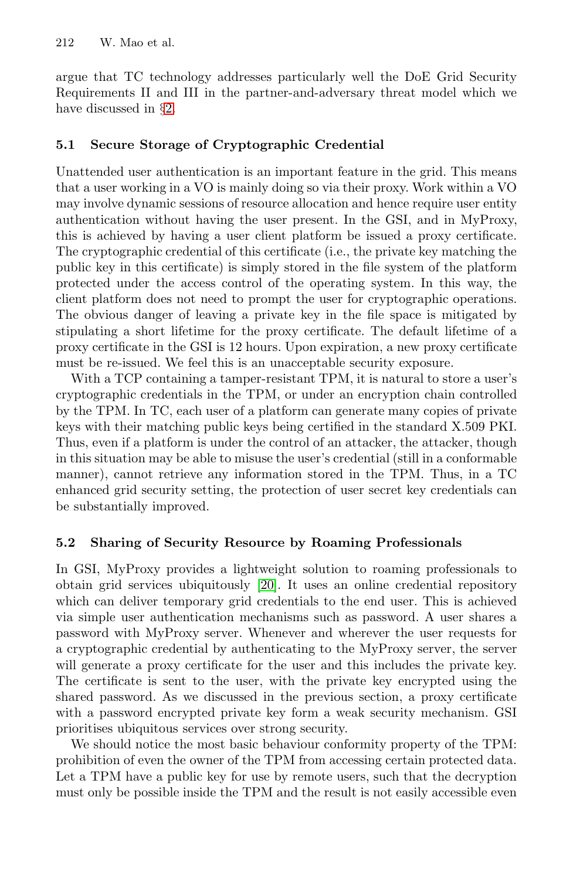argue that TC technology addresses particularly well the DoE Grid Security Requirements II and III in the partner-and-adversary threat model which we have discussed in §2.

#### **5.1 Secure Storage of Cryptographic Credential**

Unattended user authentication is an important feature in the grid. This means that a user working in a VO is mainly doing so via their proxy. Work within a VO may involve dynamic sessions of resource allocation and hence require user entity authentication without having the user present. In the GSI, and in MyProxy, this is achieved by having a user client platform be issued a proxy certificate. The cryptographic credential of this certificate (i.e., the private key matching the public key in this certificate) is simply stored in the file system of the platform protected under the access control of the operating system. In this way, the client platform does not need to prompt the user for cryptographic operations. The obvious danger of leaving a private key in the file space is mitigated by stipulating a short lifetime for the proxy certificate. The default lifetime of a proxy certificate in the GSI is 12 hours. Upon expiration, a new proxy certificate must be re-issued. We feel this is an unacceptable security exposure.

With a TCP containing a tamper-resistant TPM, it is natural to store a user's cryptographic credentials in the TPM, or under an encryption chain controlled by the TPM. In TC, each user of a platform can generate many copies of private keys with their matching public keys being certified in the standard X.509 PKI. Thus, even if a platform is under the control of an attacker, the attacker, though in this situation [ma](#page-17-3)y be able to misuse the user's credential (still in a conformable manner), cannot retrieve any information stored in the TPM. Thus, in a TC enhanced grid security setting, the protection of user secret key credentials can be substantially improved.

#### **5.2 Sharing of Security Resource by Roaming Professionals**

In GSI, MyProxy provides a lightweight solution to roaming professionals to obtain grid services ubiquitously [20]. It uses an online credential repository which can deliver temporary grid credentials to the end user. This is achieved via simple user authentication mechanisms such as password. A user shares a password with MyProxy server. Whenever and wherever the user requests for a cryptographic credential by authenticating to the MyProxy server, the server will generate a proxy certificate for the user and this includes the private key. The certificate is sent to the user, with the private key encrypted using the shared password. As we discussed in the previous section, a proxy certificate with a password encrypted private key form a weak security mechanism. GSI prioritises ubiquitous services over strong security.

We should notice the most basic behaviour conformity property of the TPM: prohibition of even the owner of the TPM from accessing certain protected data. Let a TPM have a public key for use by remote users, such that the decryption must only be possible inside the TPM and the result is not easily accessible even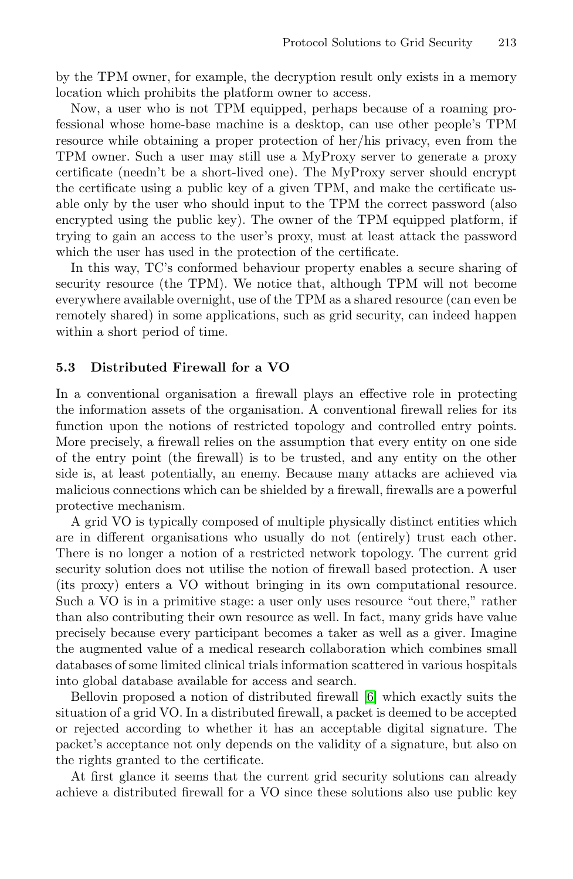by the TPM owner, for example, the decryption result only exists in a memory location which prohibits the platform owner to access.

Now, a user who is not TPM equipped, perhaps because of a roaming professional whose home-base machine is a desktop, can use other people's TPM resource while obtaining a proper protection of her/his privacy, even from the TPM owner. Such a user may still use a MyProxy server to generate a proxy certificate (needn't be a short-lived one). The MyProxy server should encrypt the certificate using a public key of a given TPM, and make the certificate usable only by the user who should input to the TPM the correct password (also encrypted using the public key). The owner of the TPM equipped platform, if trying to gain an access to the user's proxy, must at least attack the password which the user has used in the protection of the certificate.

<span id="page-9-0"></span>In this way, TC's conformed behaviour property enables a secure sharing of security resource (the TPM). We notice that, although TPM will not become everywhere available overnight, use of the TPM as a shared resource (can even be remotely shared) in some applications, such as grid security, can indeed happen within a short period of time.

#### **5.3 Distributed Firewall for a VO**

In a conventional organisation a firewall plays an effective role in protecting the information assets of the organisation. A conventional firewall relies for its function upon the notions of restricted topology and controlled entry points. More precisely, a firewall relies on the assumption that every entity on one side of the entry point (the firewall) is to be trusted, and any entity on the other side is, at least potentially, an enemy. Because many attacks are achieved via malicious connections which can be shielded by a firewall, firewalls are a powerful protective mechanism.

A grid VO is typically composed of multiple physically distinct entities which are in different organisations who usually do not (entirely) trust each other. There is no longer a notion of a restricted network topology. The current grid security solution does not utilise t[he](#page-16-7) notion of firewall based protection. A user (its proxy) enters a VO without bringing in its own computational resource. Such a VO is in a primitive stage: a user only uses resource "out there," rather than also contributing their own resource as well. In fact, many grids have value precisely because every participant becomes a taker as well as a giver. Imagine the augmented value of a medical research collaboration which combines small databases of some limited clinical trials information scattered in various hospitals into global database available for access and search.

Bellovin proposed a notion of distributed firewall [6] which exactly suits the situation of a grid VO. In a distributed firewall, a packet is deemed to be accepted or rejected according to whether it has an acceptable digital signature. The packet's acceptance not only depends on the validity of a signature, but also on the rights granted to the certificate.

At first glance it seems that the current grid security solutions can already achieve a distributed firewall for a VO since these solutions also use public key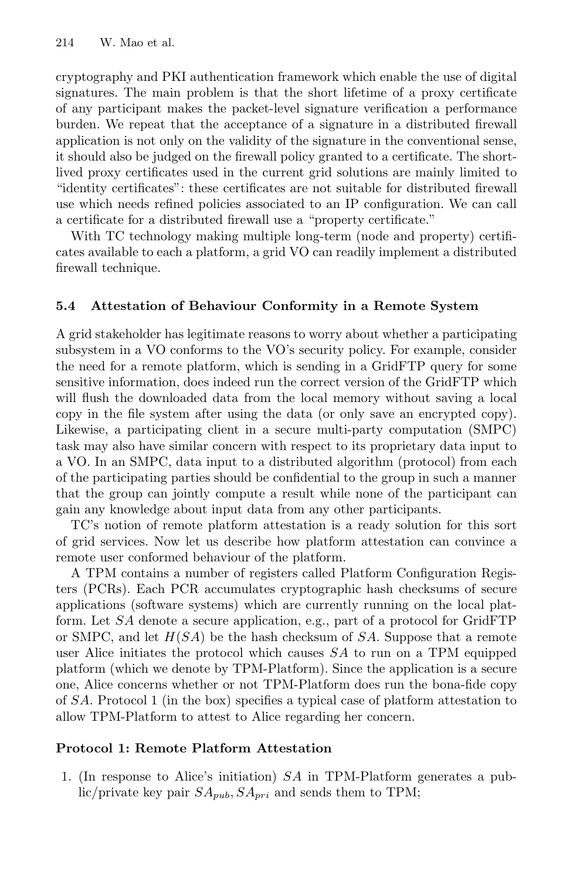cryptography and PKI authentication framework which enable the use of digital signatures. The main problem is that the short lifetime of a proxy certificate of any participant makes the packet-level signature verification a performance burden. We repeat that the acceptance of a signature in a distributed firewall application is not only on the validity of the signature in the conventional sense, it should also be judged on the firewall policy granted to a certificate. The shortlived proxy certificates used in the current grid solutions are mainly limited to "identity certificates": these certificates are not suitable for distributed firewall use which needs refined policies associated to an IP configuration. We can call a certificate for a distributed firewall use a "property certificate."

With TC technology making multiple long-term (node and property) certificates available to each a platform, a grid VO can readily implement a distributed firewall technique.

#### <span id="page-10-0"></span>**5.4 Attestation of Behaviour Conformity in a Remote System**

A grid stakeholder has legitimate reasons to worry about whether a participating subsystem in a VO conforms to the VO's security policy. For example, consider the need for a remote platform, which is sending in a GridFTP query for some sensitive information, does indeed run the correct version of the GridFTP which will flush the downloaded data from the local memory without saving a local copy in the file system after using the data (or only save an encrypted copy). Likewise, a participating client in a secure multi-party computation (SMPC) task may also have similar concern with respect to its proprietary data input to a VO. In an SMPC, data input to a distributed algorithm (protocol) from each of the participating parties should be confidential to the group in such a manner that the group can jointly compute a result while none of the participant can gain any knowledge about input data from any other participants.

TC's notion of remote platform attestation is a ready solution for this sort of grid services. Now let us describe how platform attestation can convince a remote user conformed behaviour of the platform.

A TPM contains a number of registers called Platform Configuration Registers (PCRs). Each PCR accumulates cryptographic hash checksums of secure applications (software systems) which are currently running on the local platform. Let *SA* denote a secure application, e.g., part of a protocol for GridFTP or SMPC, and let *H*(*SA*) be the hash checksum of *SA*. Suppose that a remote user Alice initiates the protocol which causes *SA* to run on a TPM equipped platform (which we denote by TPM-Platform). Since the application is a secure one, Alice concerns whether or not TPM-Platform does run the bona-fide copy of *SA*. Protocol 1 (in the box) specifies a typical case of platform attestation to allow TPM-Platform to attest to Alice regarding her concern.

#### **Protocol 1: Remote Platform Attestation**

1. (In response to Alice's initiation) *SA* in TPM-Platform generates a public/private key pair  $SA_{pub}$ ,  $SA_{pri}$  and sends them to TPM;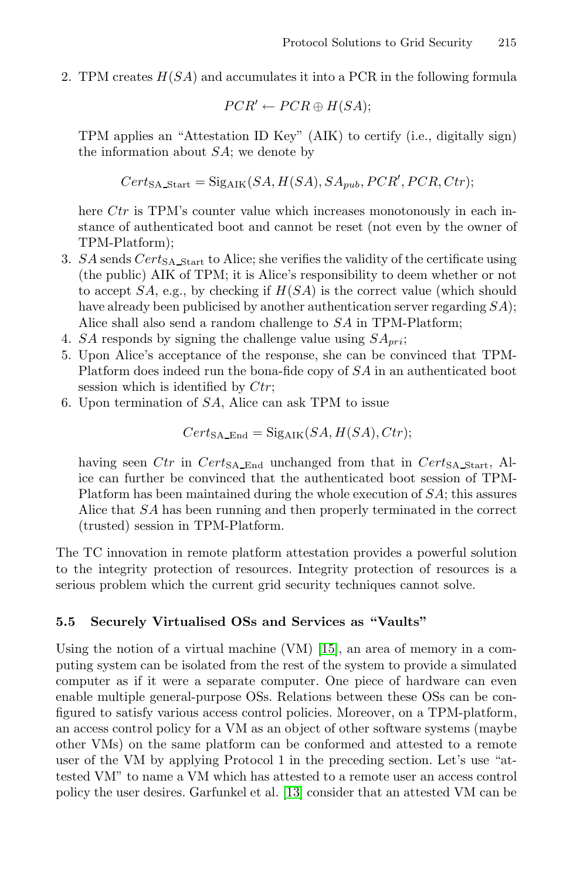2. TPM creates *H*(*SA*) and accumulates it into a PCR in the following formula

$$
PCR' \leftarrow PCR \oplus H(SA);
$$

TPM applies an "Attestation ID Key" (AIK) to certify (i.e., digitally sign) the information about *SA*; we denote by

$$
Cert_{SA\_Start} = Sig_{AIK}(SA, H(SA), SA_{pub}, PCR', PCR, Ctr);
$$

here *Ctr* is TPM's counter value which increases monotonously in each instance of authenticated boot and cannot be reset (not even by the owner of TPM-Platform);

- 3. *SA* sends *Cert*SA Start to Alice; she verifies the validity of the certificate using (the public) AIK of TPM; it is Alice's responsibility to deem whether or not to accept *SA*, e.g., by checking if *H*(*SA*) is the correct value (which should have already been publicised by another authentication server regarding *SA*); Alice shall also send a random challenge to *SA* in TPM-Platform;
- 4. *SA* responds by signing the challenge value using *SApri*;
- 5. Upon Alice's acceptance of the response, she can be convinced that TPM-Platform does indeed run the bona-fide copy of *SA* in an authenticated boot session which is identified by *Ctr*;
- 6. Upon termination of *SA*, Alice can ask TPM to issue

$$
Cert_{SA\_End} = Sig_{AIK}(SA, H(SA), Ctr);
$$

having seen *Ctr* in *Cert*<sub>SA End</sub> unchanged from that in *Cert*<sub>SA Start</sub>, Alice can further be convinced that the authenticated boot session of TPM-Platform has been maintained during the whole execution of *SA*; this assures Alice that *SA* has been running and then properly terminated in the correct (trusted) session in T[PM-](#page-16-8)Platform.

<span id="page-11-0"></span>The TC innovation in remote platform attestation provides a powerful solution to the integrity protection of resources. Integrity protection of resources is a serious problem which the current grid security techniques cannot solve.

#### **5.5 Securely Virtualised OSs and Services as "Vaults"**

Using the notion of a virtual machine (VM) [15], an area of memory in a computing system can b[e iso](#page-16-9)lated from the rest of the system to provide a simulated computer as if it were a separate computer. One piece of hardware can even enable multiple general-purpose OSs. Relations between these OSs can be configured to satisfy various access control policies. Moreover, on a TPM-platform, an access control policy for a VM as an object of other software systems (maybe other VMs) on the same platform can be conformed and attested to a remote user of the VM by applying Protocol 1 in the preceding section. Let's use "attested VM" to name a VM which has attested to a remote user an access control policy the user desires. Garfunkel et al. [13] consider that an attested VM can be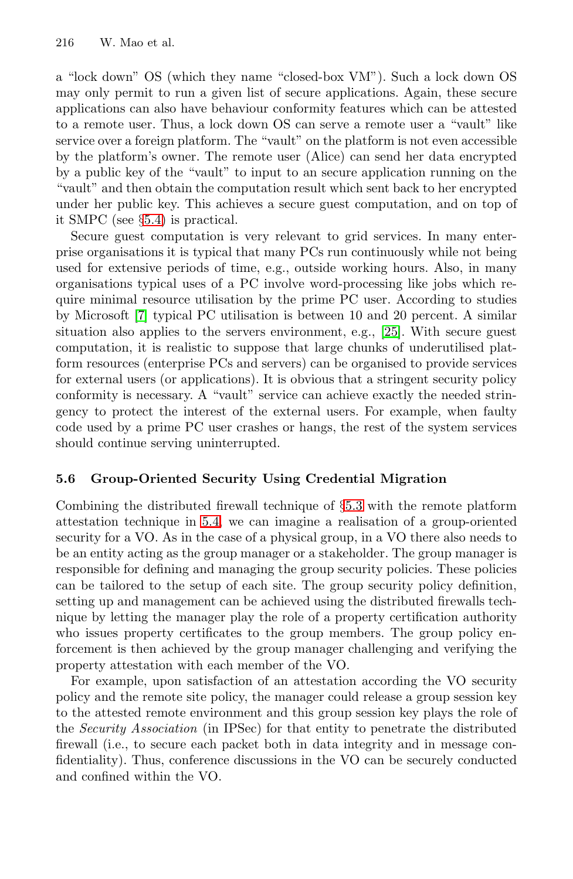a "lock down" OS (which they name "closed-box VM"). Such a lock down OS may only permit to run a given list of secure applications. Again, these secure applications can also have behaviour conformity features which can be attested to a remote user. Thus, a lock down OS can serve a remote user a "vault" like service over a foreign platform. The "vault" on the platform is not even accessible by the platform's owner. The remote user (Alice) can send her data encrypted by a public key of the "vault" to input to an secure application running on the "vault" and then obtain the computation result which sent back to her encrypted under her public key. This achieves [a se](#page-17-6)cure guest computation, and on top of it SMPC (see §5.4) is practical.

Secure guest computation is very relevant to grid services. In many enterprise organisations it is typical that many PCs run continuously while not being used for extensive periods of time, e.g., outside working hours. Also, in many organisations typical uses of a PC involve word-processing like jobs which require minimal resource utilisation by the prime PC user. According to studies by Microsoft [7] typical PC utilisation is between 10 and 20 percent. A similar situation also applies to the servers environment, e.g., [25]. With secure guest computation, it is realistic to suppose that large chunks of underutilised platform resources (enterprise PCs and servers) can be organised to provide services for external users (or applicati[ons\)](#page-9-0). It is obvious that a stringent security policy confo[rmit](#page-10-0)y is necessary. A "vault" service can achieve exactly the needed stringency to protect the interest of the external users. For example, when faulty code used by a prime PC user crashes or hangs, the rest of the system services should continue serving uninterrupted.

#### **5.6 Group-Oriented Security Using Credential Migration**

Combining the distributed firewall technique of §5.3 with the remote platform attestation technique in 5.4, we can imagine a realisation of a group-oriented security for a VO. As in the case of a physical group, in a VO there also needs to be an entity acting as the group manager or a stakeholder. The group manager is responsible for defining and managing the group security policies. These policies can be tailored to the setup of each site. The group security policy definition, setting up and management can be achieved using the distributed firewalls technique by letting the manager play the role of a property certification authority who issues property certificates to the group members. The group policy enforcement is then achieved by the group manager challenging and verifying the property attestation with each member of the VO.

For example, upon satisfaction of an attestation according the VO security policy and the remote site policy, the manager could release a group session key to the attested remote environment and this group session key plays the role of the *Security Association* (in IPSec) for that entity to penetrate the distributed firewall (i.e., to secure each packet both in data integrity and in message confidentiality). Thus, conference discussions in the VO can be securely conducted and confined within the VO.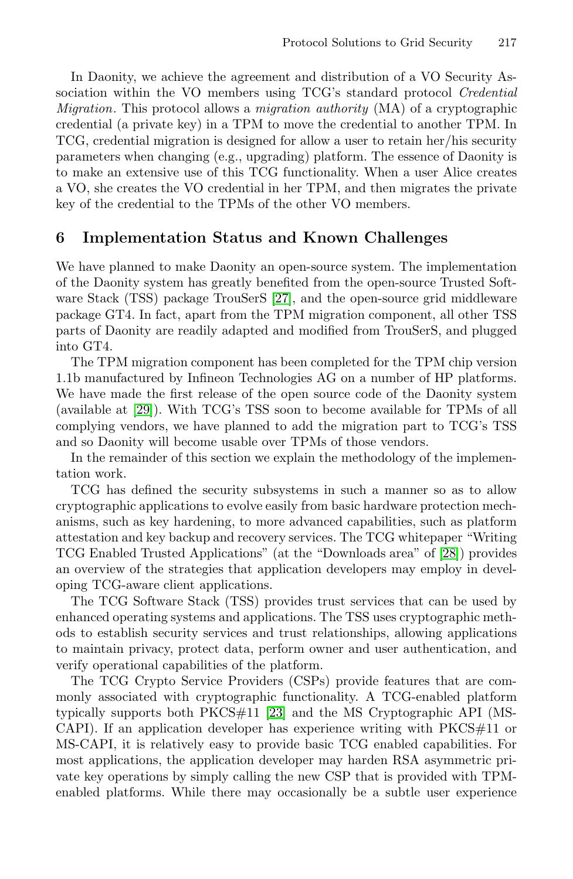In Daonity, we achieve the agreement and distribution of a VO Security Association within the VO members using TCG's standard protocol *Credential Migration*. This protocol allows a *migration authority* (MA) of a cryptographic credential (a private key) in a TPM to move the credential to another TPM. In TCG, credential migration is designed for allow a user to retain her/his security parameters when changing (e.g., upgrading) platform. The essence of Daonity is to make an extens[ive](#page-17-7) use of this TCG functionality. When a user Alice creates a VO, she creates the VO credential in her TPM, and then migrates the private key of the credential to the TPMs of the other VO members.

#### **6 Implementation Status and Known Challenges**

We have planned to make Daonity an open-source system. The implementation of the Daonity system has greatly benefited from the open-source Trusted Software Stack (TSS) package TrouSerS [27], and the open-source grid middleware package GT4. In fact, apart from the TPM migration component, all other TSS parts of Daonity are readily adapted and modified from TrouSerS, and plugged into GT4.

The TPM migration component has been completed for the TPM chip version 1.1b manufactured by Infineon Technologies AG on a number of HP platforms. We have made the first release of the open source code of the Daonity system (available at [29]). With TCG's TSS soon to become available for TPMs of all complying vendors, we have planned to add th[e m](#page-17-1)igration part to TCG's TSS and so Daonity will become usable over TPMs of those vendors.

In the remainder of this section we explain the methodology of the implementation work.

TCG has defined the security subsystems in such a manner so as to allow cryptographic applications to evolve easily from basic hardware protection mechanisms, such as key hardening, to more advanced capabilities, such as platform attestation and key backup and recovery services. The TCG whitepaper "Writing TCG Enabled Trusted Applications" (at the "Downloads area" of [28]) provides an overview of the strategies that application developers may employ in developing TCG-awar[e cli](#page-17-8)ent applications.

The TCG Software Stack (TSS) provides trust services that can be used by enhanced operating systems and applications. The TSS uses cryptographic methods to establish security services and trust relationships, allowing applications to maintain privacy, protect data, perform owner and user authentication, and verify operational capabilities of the platform.

The TCG Crypto Service Providers (CSPs) provide features that are commonly associated with cryptographic functionality. A TCG-enabled platform typically supports both PKCS#11 [23] and the MS Cryptographic API (MS-CAPI). If an application developer has experience writing with  $PKCS#11$  or MS-CAPI, it is relatively easy to provide basic TCG enabled capabilities. For most applications, the application developer may harden RSA asymmetric private key operations by simply calling the new CSP that is provided with TPMenabled platforms. While there may occasionally be a subtle user experience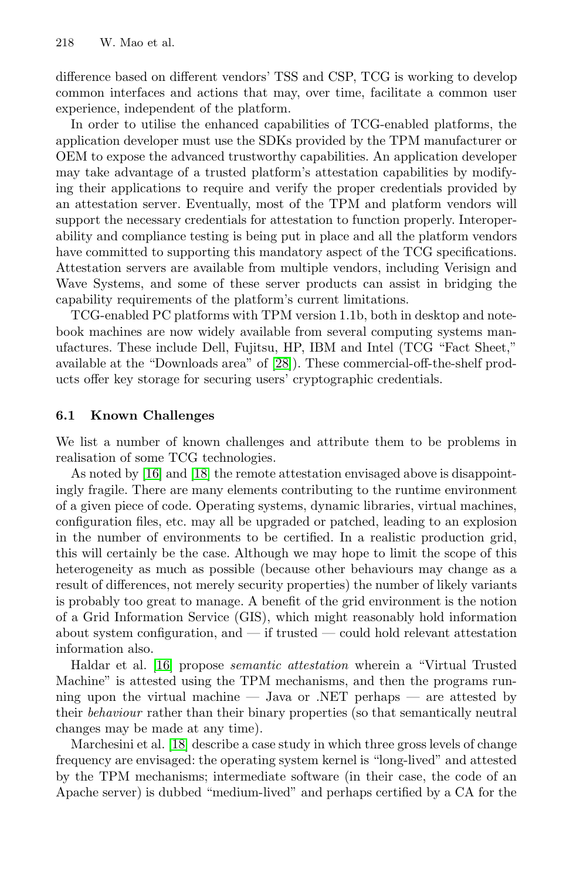difference based on different vendors' TSS and CSP, TCG is working to develop common interfaces and actions that may, over time, facilitate a common user experience, independent of the platform.

In order to utilise the enhanced capabilities of TCG-enabled platforms, the application developer must use the SDKs provided by the TPM manufacturer or OEM to expose the advanced trustworthy capabilities. An application developer may take advantage of a trusted platform's attestation capabilities by modifying their applications to require and verify the proper credentials provided by an attestation server. Eventually, most of the TPM and platform vendors will support the necessary credentials for attestation to function properly. Interoperability and compli[ance](#page-17-1) testing is being put in place and all the platform vendors have committed to supporting this mandatory aspect of the TCG specifications. Attestation servers are available from multiple vendors, including Verisign and Wave Systems, and some of these server products can assist in bridging the capability requirements of the platform's current limitations.

TCG-enabled PC platforms with TPM version 1.1b, both in desktop and notebook machines are now widely available from several computing systems manufac[ture](#page-16-10)s. These include Dell, Fujitsu, HP, IBM and Intel (TCG "Fact Sheet," available at the "Downloads area" of [28]). These commercial-off-the-shelf products offer key storage for securing users' cryptographic credentials.

#### **6.1 Known Challenges**

We list a number of known challenges and attribute them to be problems in realisation of some TCG technologies.

As noted by [16] and [18] the remote attestation envisaged above is disappointingly fragile. There are many elements contributing to the runtime environment of a given piece of code. Operating systems, dynamic libraries, virtual machines, configuration files, etc. may all be upgraded or patched, leading to an explosion [in](#page-16-11) the number of environments to be certified. In a realistic production grid, this will certainly be the case. Although we may hope to limit the scope of this heterogeneity as much as possible (because other behaviours may change as a result of differences, not merely security properties) the number of likely variants is probably too great to manage. A benefit of the grid environment is the notion [of a](#page-16-10) Grid Information Service (GIS), which might reasonably hold information about system configuration, and — if trusted — could hold relevant attestation information also.

Haldar et al. [16] propose *semantic attestation* wherein a "Virtual Trusted Machine" is attested using the TPM mechanisms, and then the programs running upon the virtual machine — Java or .NET perhaps — are attested by their *behaviour* rather than their binary properties (so that semantically neutral changes may be made at any time).

Marchesini et al. [18] describe a case study in which three gross levels of change frequency are envisaged: the operating system kernel is "long-lived" and attested by the TPM mechanisms; intermediate software (in their case, the code of an Apache server) is dubbed "medium-lived" and perhaps certified by a CA for the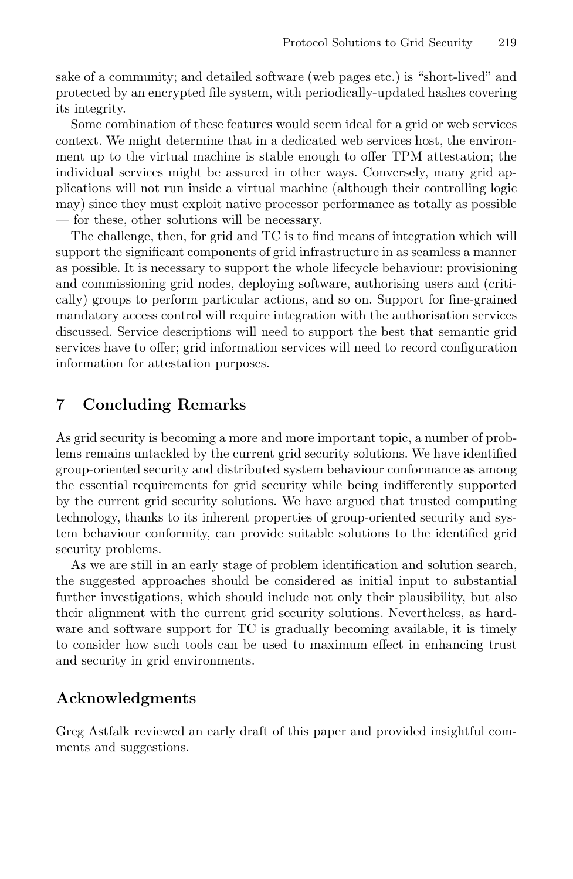sake of a community; and detailed software (web pages etc.) is "short-lived" and protected by an encrypted file system, with periodically-updated hashes covering its integrity.

Some combination of these features would seem ideal for a grid or web services context. We might determine that in a dedicated web services host, the environment up to the virtual machine is stable enough to offer TPM attestation; the individual services might be assured in other ways. Conversely, many grid applications will not run inside a virtual machine (although their controlling logic may) since they must exploit native processor performance as totally as possible — for these, other solutions will be necessary.

The challenge, then, for grid and TC is to find means of integration which will support the significant components of grid infrastructure in as seamless a manner as possible. It is necessary to support the whole lifecycle behaviour: provisioning and commissioning grid nodes, deploying software, authorising users and (critically) groups to perform particular actions, and so on. Support for fine-grained mandatory access control will require integration with the authorisation services discussed. Service descriptions will need to support the best that semantic grid services have to offer; grid information services will need to record configuration information for attestation purposes.

## **7 Concluding Remarks**

As grid security is becoming a more and more important topic, a number of problems remains untackled by the current grid security solutions. We have identified group-oriented security and distributed system behaviour conformance as among the essential requirements for grid security while being indifferently supported by the current grid security solutions. We have argued that trusted computing technology, thanks to its inherent properties of group-oriented security and system behaviour conformity, can provide suitable solutions to the identified grid security problems.

As we are still in an early stage of problem identification and solution search, the suggested approaches should be considered as initial input to substantial further investigations, which should include not only their plausibility, but also their alignment with the current grid security solutions. Nevertheless, as hardware and software support for TC is gradually becoming available, it is timely to consider how such tools can be used to maximum effect in enhancing trust and security in grid environments.

## **Acknowledgments**

Greg Astfalk reviewed an early draft of this paper and provided insightful comments and suggestions.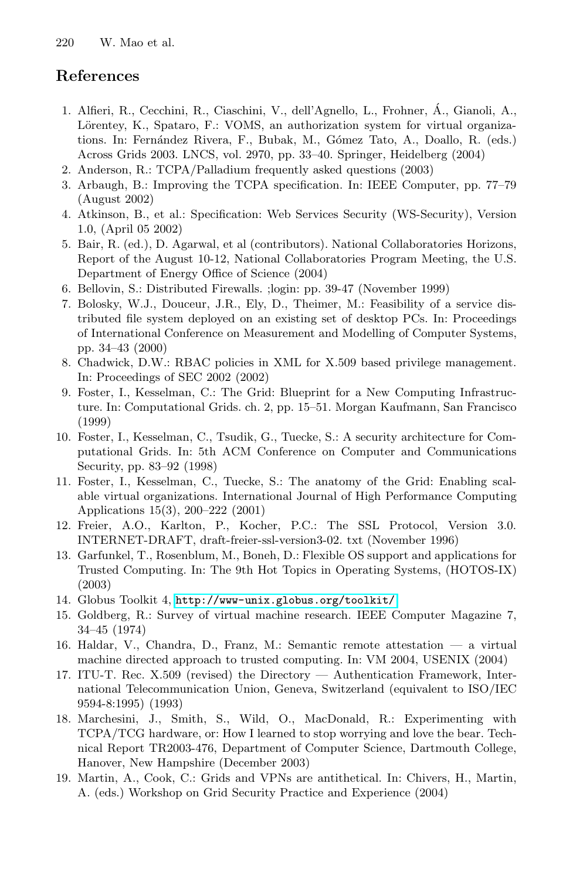## <span id="page-16-6"></span><span id="page-16-5"></span><span id="page-16-4"></span><span id="page-16-2"></span>**References**

- 1. Alfieri, R., Cecchini, R., Ciaschini, V., dell'Agnello, L., Frohner, A., Gianoli, A., ´ Lörentey, K., Spataro, F.: VOMS, an authorization system for virtual organizations. In: Fernández Rivera, F., Bubak, M., Gómez Tato, A., Doallo, R. (eds.) Across Grids 2003. LNCS, vol. 2970, pp. 33–40. Springer, Heidelberg (2004)
- <span id="page-16-7"></span>2. Anderson, R.: TCPA/Palladium frequently asked questions (2003)
- 3. Arbaugh, B.: Improving the TCPA specification. In: IEEE Computer, pp. 77–79 (August 2002)
- <span id="page-16-3"></span>4. Atkinson, B., et al.: Specification: Web Services Security (WS-Security), Version 1.0, (April 05 2002)
- 5. Bair, R. (ed.), D. Agarwal, et al (contributors). National Collaboratories Horizons, Report of the August 10-12, National Collaboratories Program Meeting, the U.S. Department of Energy Office of Science (2004)
- 6. Bellovin, S.: Distributed Firewalls. ;login: pp. 39-47 (November 1999)
- <span id="page-16-0"></span>7. Bolosky, W.J., Douceur, J.R., Ely, D., Theimer, M.: Feasibility of a service distributed file system deployed on an existing set of desktop PCs. In: Proceedings of International Conference on Measurement and Modelling of Computer Systems, pp. 34–43 (2000)
- 8. Chadwick, D.W.: RBAC policies in XML for X.509 based privilege management. In: Proceedings of SEC 2002 (2002)
- 9. Foster, I., Kesselman, C.: The Grid: Blueprint for a New Computing Infrastructure. In: Computational Grids. ch. 2, pp. 15–51. Morgan Kaufmann, San Francisco (1999)
- <span id="page-16-9"></span>10. Foster, I., Kesselman, C., Tsudik, G., Tuecke, S.: A security architecture for Computational Grids. In: 5th ACM Conference on Computer and Communications Security, pp. 83–92 (1998)
- <span id="page-16-8"></span><span id="page-16-1"></span>1[1. Foster, I., Kesselman, C., Tuecke, S.:](http://www-unix.globus.org/toolkit/) The anatomy of the Grid: Enabling scalable virtual organizations. International Journal of High Performance Computing Applications 15(3), 200–222 (2001)
- <span id="page-16-11"></span>12. Freier, A.O., Karlton, P., Kocher, P.C.: The SSL Protocol, Version 3.0. INTERNET-DRAFT, draft-freier-ssl-version3-02. txt (November 1996)
- 13. Garfunkel, T., Rosenblum, M., Boneh, D.: Flexible OS support and applications for Trusted Computing. In: The 9th Hot Topics in Operating Systems, (HOTOS-IX) (2003)
- <span id="page-16-10"></span>14. Globus Toolkit 4, http://www-unix.globus.org/toolkit/
- 15. Goldberg, R.: Survey of virtual machine research. IEEE Computer Magazine 7, 34–45 (1974)
- 16. Haldar, V., Chandra, D., Franz, M.: Semantic remote attestation a virtual machine directed approach to trusted computing. In: VM 2004, USENIX (2004)
- 17. ITU-T. Rec. X.509 (revised) the Directory Authentication Framework, International Telecommunication Union, Geneva, Switzerland (equivalent to ISO/IEC 9594-8:1995) (1993)
- 18. Marchesini, J., Smith, S., Wild, O., MacDonald, R.: Experimenting with TCPA/TCG hardware, or: How I learned to stop worrying and love the bear. Technical Report TR2003-476, Department of Computer Science, Dartmouth College, Hanover, New Hampshire (December 2003)
- 19. Martin, A., Cook, C.: Grids and VPNs are antithetical. In: Chivers, H., Martin, A. (eds.) Workshop on Grid Security Practice and Experience (2004)